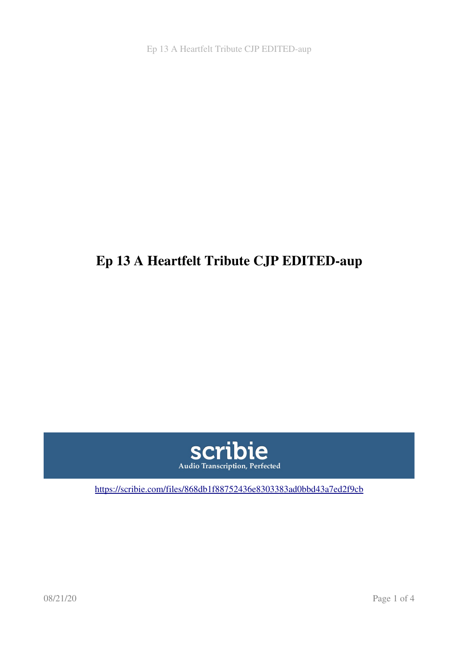Ep 13 A Heartfelt Tribute CJP EDITED-aup

## Ep 13 A Heartfelt Tribute CJP EDITED-aup



[https://scribie.com/files/868db1f88752436e8303383ad0bbd43a7ed2f9cb](https://scribie.com/files/%7BFID%7D)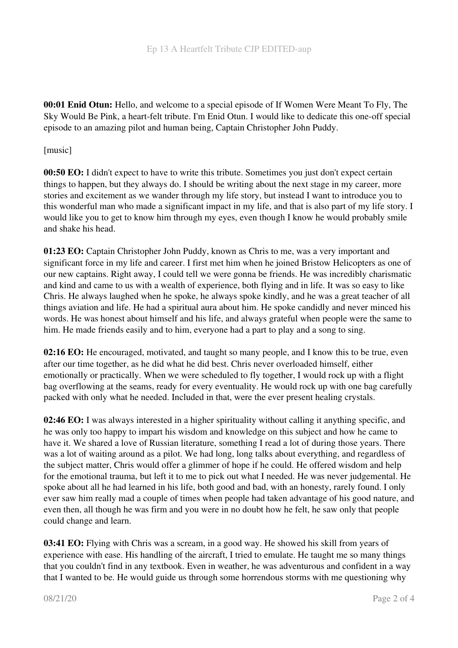00:01 Enid Otun: Hello, and welcome to a special episode of If Women Were Meant To Fly, The Sky Would Be Pink, a heart-felt tribute. I'm Enid Otun. I would like to dedicate this one-off special episode to an amazing pilot and human being, Captain Christopher John Puddy.

[music]

00:50 EO: I didn't expect to have to write this tribute. Sometimes you just don't expect certain things to happen, but they always do. I should be writing about the next stage in my career, more stories and excitement as we wander through my life story, but instead I want to introduce you to this wonderful man who made a significant impact in my life, and that is also part of my life story. I would like you to get to know him through my eyes, even though I know he would probably smile and shake his head.

01:23 EO: Captain Christopher John Puddy, known as Chris to me, was a very important and significant force in my life and career. I first met him when he joined Bristow Helicopters as one of our new captains. Right away, I could tell we were gonna be friends. He was incredibly charismatic and kind and came to us with a wealth of experience, both flying and in life. It was so easy to like Chris. He always laughed when he spoke, he always spoke kindly, and he was a great teacher of all things aviation and life. He had a spiritual aura about him. He spoke candidly and never minced his words. He was honest about himself and his life, and always grateful when people were the same to him. He made friends easily and to him, everyone had a part to play and a song to sing.

02:16 EO: He encouraged, motivated, and taught so many people, and I know this to be true, even after our time together, as he did what he did best. Chris never overloaded himself, either emotionally or practically. When we were scheduled to fly together, I would rock up with a flight bag overflowing at the seams, ready for every eventuality. He would rock up with one bag carefully packed with only what he needed. Included in that, were the ever present healing crystals.

02:46 EO: I was always interested in a higher spirituality without calling it anything specific, and he was only too happy to impart his wisdom and knowledge on this subject and how he came to have it. We shared a love of Russian literature, something I read a lot of during those years. There was a lot of waiting around as a pilot. We had long, long talks about everything, and regardless of the subject matter, Chris would offer a glimmer of hope if he could. He offered wisdom and help for the emotional trauma, but left it to me to pick out what I needed. He was never judgemental. He spoke about all he had learned in his life, both good and bad, with an honesty, rarely found. I only ever saw him really mad a couple of times when people had taken advantage of his good nature, and even then, all though he was firm and you were in no doubt how he felt, he saw only that people could change and learn.

03:41 EO: Flying with Chris was a scream, in a good way. He showed his skill from years of experience with ease. His handling of the aircraft, I tried to emulate. He taught me so many things that you couldn't find in any textbook. Even in weather, he was adventurous and confident in a way that I wanted to be. He would guide us through some horrendous storms with me questioning why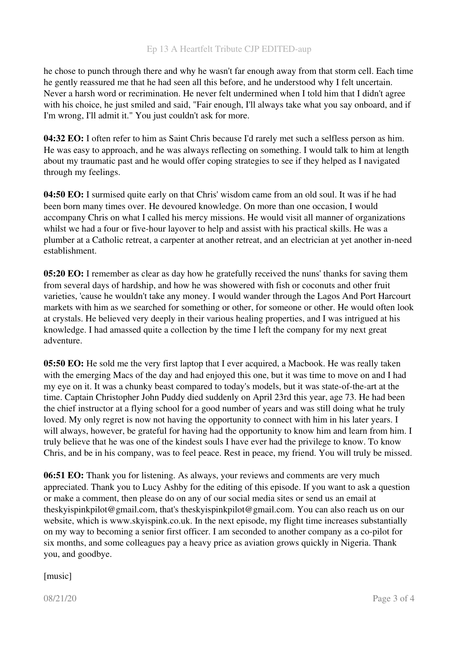he chose to punch through there and why he wasn't far enough away from that storm cell. Each time he gently reassured me that he had seen all this before, and he understood why I felt uncertain. Never a harsh word or recrimination. He never felt undermined when I told him that I didn't agree with his choice, he just smiled and said, "Fair enough, I'll always take what you say onboard, and if I'm wrong, I'll admit it." You just couldn't ask for more.

04:32 EO: I often refer to him as Saint Chris because I'd rarely met such a selfless person as him. He was easy to approach, and he was always reflecting on something. I would talk to him at length about my traumatic past and he would offer coping strategies to see if they helped as I navigated through my feelings.

04:50 EO: I surmised quite early on that Chris' wisdom came from an old soul. It was if he had been born many times over. He devoured knowledge. On more than one occasion, I would accompany Chris on what I called his mercy missions. He would visit all manner of organizations whilst we had a four or five-hour layover to help and assist with his practical skills. He was a plumber at a Catholic retreat, a carpenter at another retreat, and an electrician at yet another in-need establishment.

05:20 EO: I remember as clear as day how he gratefully received the nuns' thanks for saving them from several days of hardship, and how he was showered with fish or coconuts and other fruit varieties, 'cause he wouldn't take any money. I would wander through the Lagos And Port Harcourt markets with him as we searched for something or other, for someone or other. He would often look at crystals. He believed very deeply in their various healing properties, and I was intrigued at his knowledge. I had amassed quite a collection by the time I left the company for my next great adventure.

05:50 EO: He sold me the very first laptop that I ever acquired, a Macbook. He was really taken with the emerging Macs of the day and had enjoyed this one, but it was time to move on and I had my eye on it. It was a chunky beast compared to today's models, but it was state-of-the-art at the time. Captain Christopher John Puddy died suddenly on April 23rd this year, age 73. He had been the chief instructor at a flying school for a good number of years and was still doing what he truly loved. My only regret is now not having the opportunity to connect with him in his later years. I will always, however, be grateful for having had the opportunity to know him and learn from him. I truly believe that he was one of the kindest souls I have ever had the privilege to know. To know Chris, and be in his company, was to feel peace. Rest in peace, my friend. You will truly be missed.

06:51 EO: Thank you for listening. As always, your reviews and comments are very much appreciated. Thank you to Lucy Ashby for the editing of this episode. If you want to ask a question or make a comment, then please do on any of our social media sites or send us an email at theskyispinkpilot@gmail.com, that's theskyispinkpilot@gmail.com. You can also reach us on our website, which is www.skyispink.co.uk. In the next episode, my flight time increases substantially on my way to becoming a senior first officer. I am seconded to another company as a co-pilot for six months, and some colleagues pay a heavy price as aviation grows quickly in Nigeria. Thank you, and goodbye.

[music]